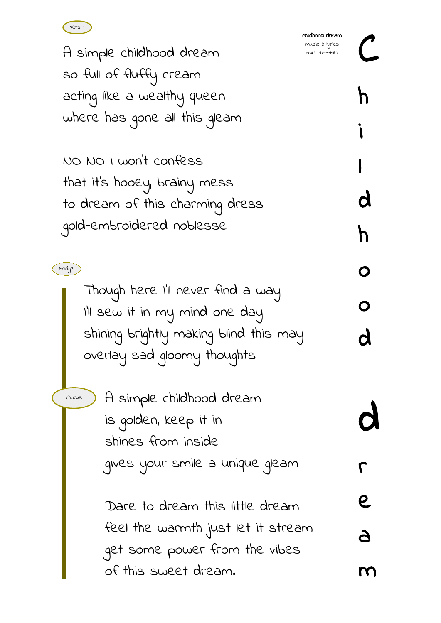

A simple childhood dream so full of fluffy cream acting like a wealthy queen where has gone all this gleam

NO NO I won't confess that it's hooey, brainy mess to dream of this charming dress gold-embroidered noblesse

> Though here I'll never find a way I'll sew it in my mind one day shining brightly making blind this may overlay sad gloomy thoughts

chorus

bridge

A simple childhood dream is golden, keep it in shines from inside gives your smile a unique gleam

Dare to dream this little dream feel the warmth just let it stream get some power from the vibes of this sweet dream.

C

h

i

l

d

h

o

o

d

d

r

e

a

m